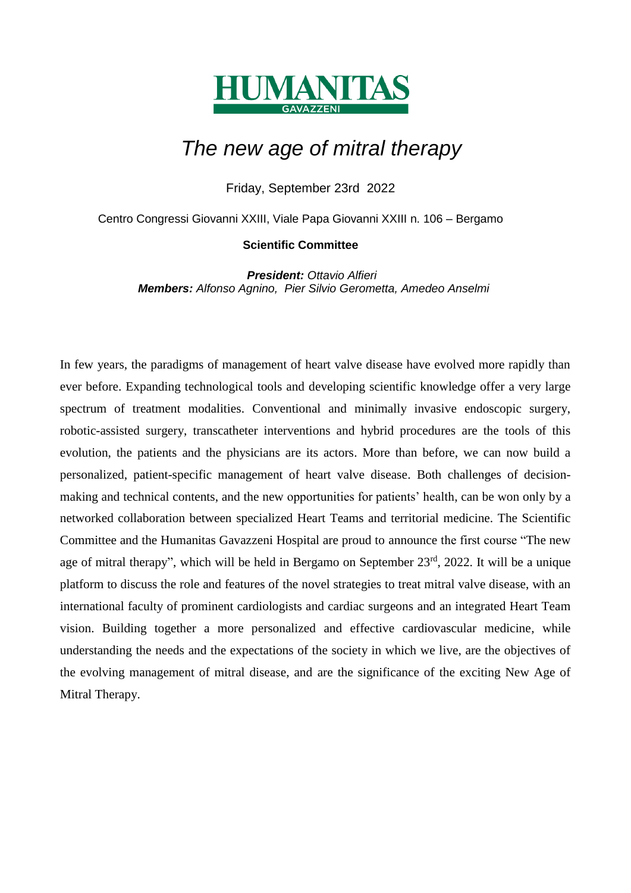

# *The new age of mitral therapy*

Friday, September 23rd 2022

Centro Congressi Giovanni XXIII, Viale Papa Giovanni XXIII n. 106 – Bergamo

#### **Scientific Committee**

*President: Ottavio Alfieri Members: Alfonso Agnino, Pier Silvio Gerometta, Amedeo Anselmi*

In few years, the paradigms of management of heart valve disease have evolved more rapidly than ever before. Expanding technological tools and developing scientific knowledge offer a very large spectrum of treatment modalities. Conventional and minimally invasive endoscopic surgery, robotic-assisted surgery, transcatheter interventions and hybrid procedures are the tools of this evolution, the patients and the physicians are its actors. More than before, we can now build a personalized, patient-specific management of heart valve disease. Both challenges of decisionmaking and technical contents, and the new opportunities for patients' health, can be won only by a networked collaboration between specialized Heart Teams and territorial medicine. The Scientific Committee and the Humanitas Gavazzeni Hospital are proud to announce the first course "The new age of mitral therapy", which will be held in Bergamo on September 23rd, 2022. It will be a unique platform to discuss the role and features of the novel strategies to treat mitral valve disease, with an international faculty of prominent cardiologists and cardiac surgeons and an integrated Heart Team vision. Building together a more personalized and effective cardiovascular medicine, while understanding the needs and the expectations of the society in which we live, are the objectives of the evolving management of mitral disease, and are the significance of the exciting New Age of Mitral Therapy.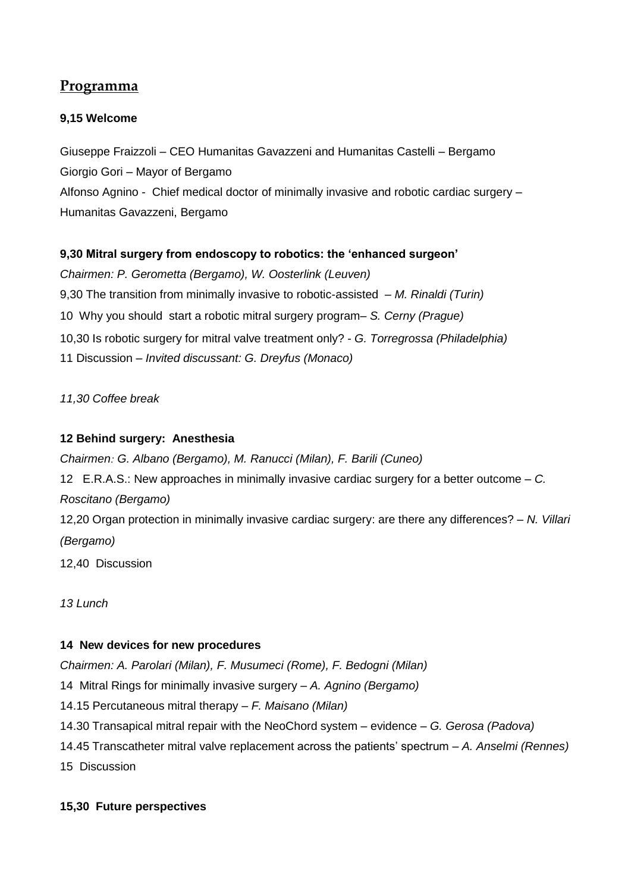# **Programma**

# **9,15 Welcome**

Giuseppe Fraizzoli – CEO Humanitas Gavazzeni and Humanitas Castelli – Bergamo Giorgio Gori – Mayor of Bergamo Alfonso Agnino - Chief medical doctor of minimally invasive and robotic cardiac surgery – Humanitas Gavazzeni, Bergamo

# **9,30 Mitral surgery from endoscopy to robotics: the 'enhanced surgeon'**

*Chairmen: P. Gerometta (Bergamo), W. Oosterlink (Leuven)* 9,30 The transition from minimally invasive to robotic-assisted *– M. Rinaldi (Turin)* 10 Why you should start a robotic mitral surgery program*– S. Cerny (Prague)* 10,30 Is robotic surgery for mitral valve treatment only? *- G. Torregrossa (Philadelphia)* 11 Discussion – *Invited discussant: G. Dreyfus (Monaco)* 

*11,30 Coffee break*

# **12 Behind surgery: Anesthesia**

*Chairmen: G. Albano (Bergamo), M. Ranucci (Milan), F. Barili (Cuneo)* 12 E.R.A.S.: New approaches in minimally invasive cardiac surgery for a better outcome *– C. Roscitano (Bergamo)* 12,20 Organ protection in minimally invasive cardiac surgery: are there any differences? – *N. Villari (Bergamo)* 12,40 Discussion

*13 Lunch* 

#### **14 New devices for new procedures**

*Chairmen: A. Parolari (Milan), F. Musumeci (Rome), F. Bedogni (Milan)*

14 Mitral Rings for minimally invasive surgery – *A. Agnino (Bergamo)*

14.15 Percutaneous mitral therapy – *F. Maisano (Milan)*

14.30 Transapical mitral repair with the NeoChord system – evidence – *G. Gerosa (Padova)*

14.45 Transcatheter mitral valve replacement across the patients' spectrum – *A. Anselmi (Rennes)*

15 Discussion

#### **15,30 Future perspectives**